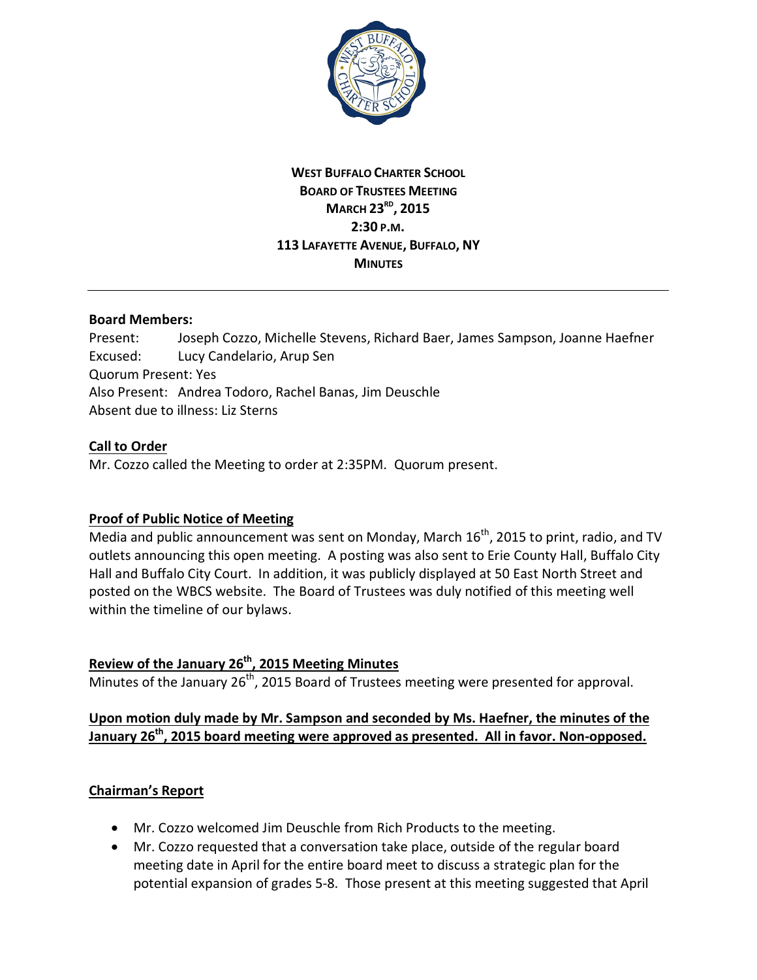

## **WEST BUFFALO CHARTER SCHOOL BOARD OF TRUSTEES MEETING MARCH 23RD, 2015 2:30 P.M. 113 LAFAYETTE AVENUE, BUFFALO, NY MINUTES**

#### **Board Members:**

Present: Joseph Cozzo, Michelle Stevens, Richard Baer, James Sampson, Joanne Haefner Excused: Lucy Candelario, Arup Sen Quorum Present: Yes Also Present: Andrea Todoro, Rachel Banas, Jim Deuschle Absent due to illness: Liz Sterns

#### **Call to Order**

Mr. Cozzo called the Meeting to order at 2:35PM. Quorum present.

#### **Proof of Public Notice of Meeting**

Media and public announcement was sent on Monday, March  $16^{th}$ , 2015 to print, radio, and TV outlets announcing this open meeting. A posting was also sent to Erie County Hall, Buffalo City Hall and Buffalo City Court. In addition, it was publicly displayed at 50 East North Street and posted on the WBCS website. The Board of Trustees was duly notified of this meeting well within the timeline of our bylaws.

# **Review of the January 26th, 2015 Meeting Minutes**

Minutes of the January  $26<sup>th</sup>$ , 2015 Board of Trustees meeting were presented for approval.

## **Upon motion duly made by Mr. Sampson and seconded by Ms. Haefner, the minutes of the January 26th, 2015 board meeting were approved as presented. All in favor. Non-opposed.**

#### **Chairman's Report**

- · Mr. Cozzo welcomed Jim Deuschle from Rich Products to the meeting.
- · Mr. Cozzo requested that a conversation take place, outside of the regular board meeting date in April for the entire board meet to discuss a strategic plan for the potential expansion of grades 5-8. Those present at this meeting suggested that April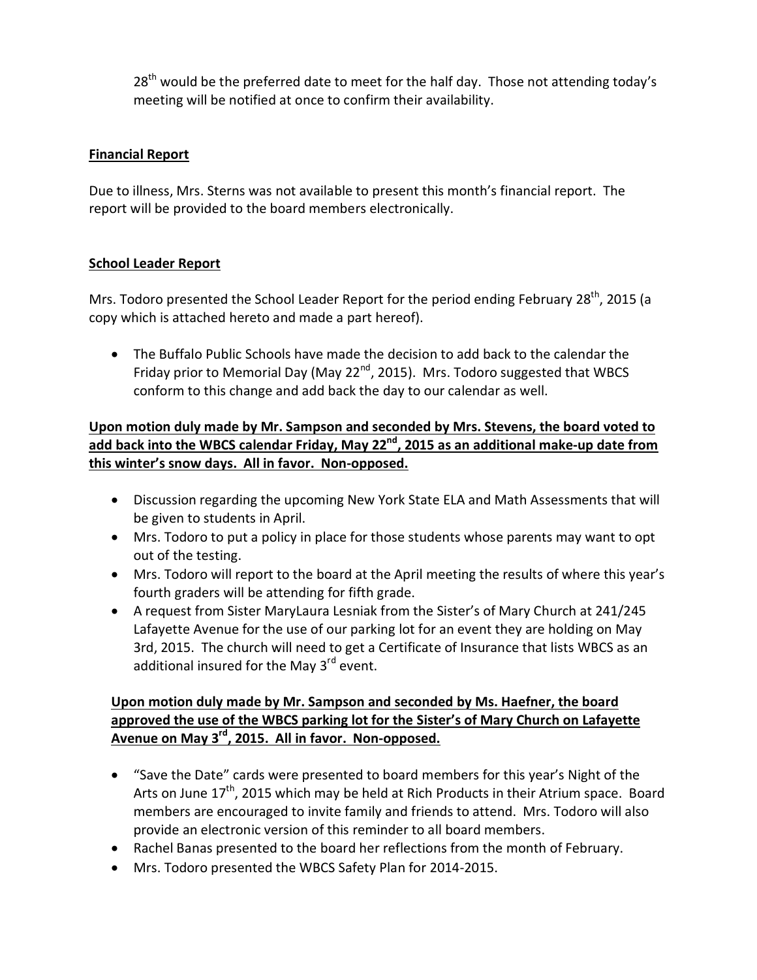$28<sup>th</sup>$  would be the preferred date to meet for the half day. Those not attending today's meeting will be notified at once to confirm their availability.

### **Financial Report**

Due to illness, Mrs. Sterns was not available to present this month's financial report. The report will be provided to the board members electronically.

## **School Leader Report**

Mrs. Todoro presented the School Leader Report for the period ending February 28<sup>th</sup>, 2015 (a copy which is attached hereto and made a part hereof).

· The Buffalo Public Schools have made the decision to add back to the calendar the Friday prior to Memorial Day (May 22<sup>nd</sup>, 2015). Mrs. Todoro suggested that WBCS conform to this change and add back the day to our calendar as well.

**Upon motion duly made by Mr. Sampson and seconded by Mrs. Stevens, the board voted to add back into the WBCS calendar Friday, May 22nd, 2015 as an additional make-up date from this winter's snow days. All in favor. Non-opposed.**

- · Discussion regarding the upcoming New York State ELA and Math Assessments that will be given to students in April.
- · Mrs. Todoro to put a policy in place for those students whose parents may want to opt out of the testing.
- · Mrs. Todoro will report to the board at the April meeting the results of where this year's fourth graders will be attending for fifth grade.
- · A request from Sister MaryLaura Lesniak from the Sister's of Mary Church at 241/245 Lafayette Avenue for the use of our parking lot for an event they are holding on May 3rd, 2015. The church will need to get a Certificate of Insurance that lists WBCS as an additional insured for the May  $3<sup>rd</sup>$  event.

## **Upon motion duly made by Mr. Sampson and seconded by Ms. Haefner, the board approved the use of the WBCS parking lot for the Sister's of Mary Church on Lafayette Avenue on May 3rd, 2015. All in favor. Non-opposed.**

- · "Save the Date" cards were presented to board members for this year's Night of the Arts on June  $17<sup>th</sup>$ , 2015 which may be held at Rich Products in their Atrium space. Board members are encouraged to invite family and friends to attend. Mrs. Todoro will also provide an electronic version of this reminder to all board members.
- · Rachel Banas presented to the board her reflections from the month of February.
- · Mrs. Todoro presented the WBCS Safety Plan for 2014-2015.